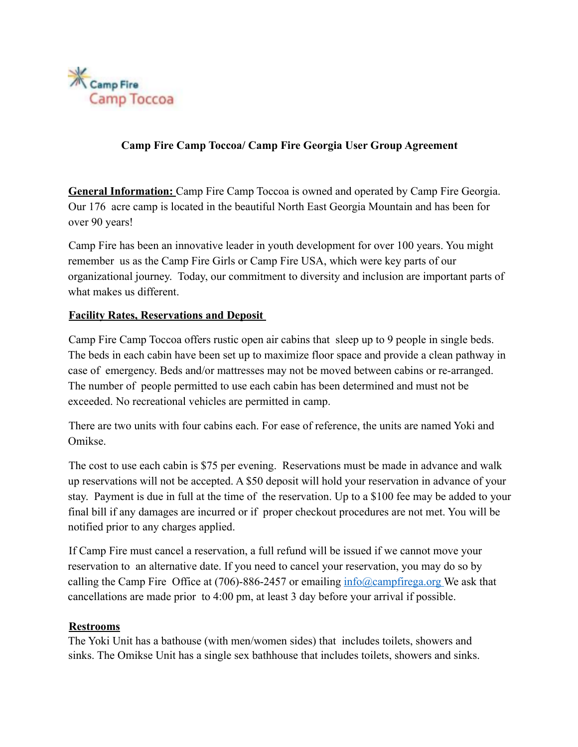

# **Camp Fire Camp Toccoa/ Camp Fire Georgia User Group Agreement**

**General Information:** Camp Fire Camp Toccoa is owned and operated by Camp Fire Georgia. Our 176 acre camp is located in the beautiful North East Georgia Mountain and has been for over 90 years!

Camp Fire has been an innovative leader in youth development for over 100 years. You might remember us as the Camp Fire Girls or Camp Fire USA, which were key parts of our organizational journey. Today, our commitment to diversity and inclusion are important parts of what makes us different.

## **Facility Rates, Reservations and Deposit**

Camp Fire Camp Toccoa offers rustic open air cabins that sleep up to 9 people in single beds. The beds in each cabin have been set up to maximize floor space and provide a clean pathway in case of emergency. Beds and/or mattresses may not be moved between cabins or re-arranged. The number of people permitted to use each cabin has been determined and must not be exceeded. No recreational vehicles are permitted in camp.

There are two units with four cabins each. For ease of reference, the units are named Yoki and Omikse.

The cost to use each cabin is \$75 per evening. Reservations must be made in advance and walk up reservations will not be accepted. A \$50 deposit will hold your reservation in advance of your stay. Payment is due in full at the time of the reservation. Up to a \$100 fee may be added to your final bill if any damages are incurred or if proper checkout procedures are not met. You will be notified prior to any charges applied.

If Camp Fire must cancel a reservation, a full refund will be issued if we cannot move your reservation to an alternative date. If you need to cancel your reservation, you may do so by calling the Camp Fire Office at (706)-886-2457 or emailing  $\frac{info(@compfirega.org}{m}$  We ask that cancellations are made prior to 4:00 pm, at least 3 day before your arrival if possible.

#### **Restrooms**

The Yoki Unit has a bathouse (with men/women sides) that includes toilets, showers and sinks. The Omikse Unit has a single sex bathhouse that includes toilets, showers and sinks.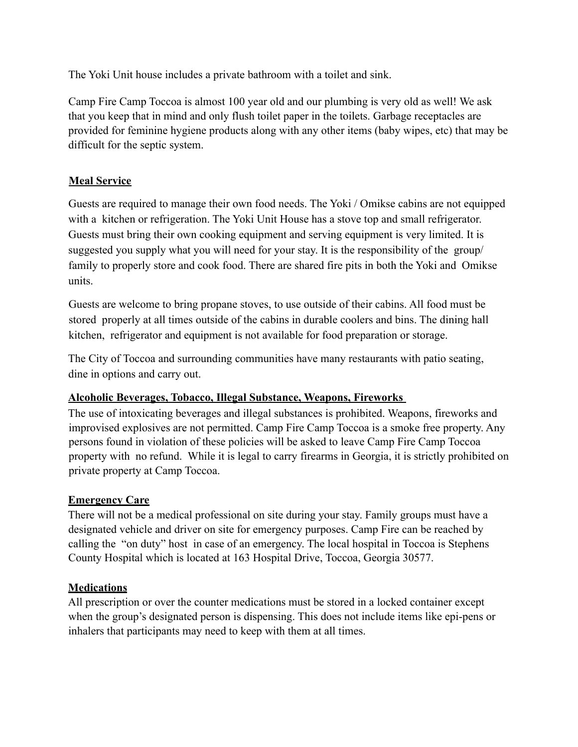The Yoki Unit house includes a private bathroom with a toilet and sink.

Camp Fire Camp Toccoa is almost 100 year old and our plumbing is very old as well! We ask that you keep that in mind and only flush toilet paper in the toilets. Garbage receptacles are provided for feminine hygiene products along with any other items (baby wipes, etc) that may be difficult for the septic system.

# **Meal Service**

Guests are required to manage their own food needs. The Yoki / Omikse cabins are not equipped with a kitchen or refrigeration. The Yoki Unit House has a stove top and small refrigerator. Guests must bring their own cooking equipment and serving equipment is very limited. It is suggested you supply what you will need for your stay. It is the responsibility of the group/ family to properly store and cook food. There are shared fire pits in both the Yoki and Omikse units.

Guests are welcome to bring propane stoves, to use outside of their cabins. All food must be stored properly at all times outside of the cabins in durable coolers and bins. The dining hall kitchen, refrigerator and equipment is not available for food preparation or storage.

The City of Toccoa and surrounding communities have many restaurants with patio seating, dine in options and carry out.

# **Alcoholic Beverages, Tobacco, Illegal Substance, Weapons, Fireworks**

The use of intoxicating beverages and illegal substances is prohibited. Weapons, fireworks and improvised explosives are not permitted. Camp Fire Camp Toccoa is a smoke free property. Any persons found in violation of these policies will be asked to leave Camp Fire Camp Toccoa property with no refund. While it is legal to carry firearms in Georgia, it is strictly prohibited on private property at Camp Toccoa.

# **Emergency Care**

There will not be a medical professional on site during your stay. Family groups must have a designated vehicle and driver on site for emergency purposes. Camp Fire can be reached by calling the "on duty" host in case of an emergency. The local hospital in Toccoa is Stephens County Hospital which is located at 163 Hospital Drive, Toccoa, Georgia 30577.

# **Medications**

All prescription or over the counter medications must be stored in a locked container except when the group's designated person is dispensing. This does not include items like epi-pens or inhalers that participants may need to keep with them at all times.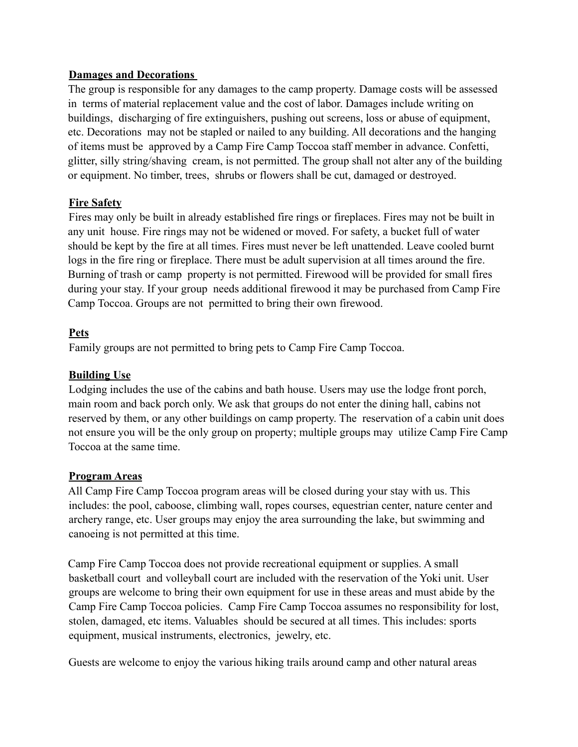#### **Damages and Decorations**

The group is responsible for any damages to the camp property. Damage costs will be assessed in terms of material replacement value and the cost of labor. Damages include writing on buildings, discharging of fire extinguishers, pushing out screens, loss or abuse of equipment, etc. Decorations may not be stapled or nailed to any building. All decorations and the hanging of items must be approved by a Camp Fire Camp Toccoa staff member in advance. Confetti, glitter, silly string/shaving cream, is not permitted. The group shall not alter any of the building or equipment. No timber, trees, shrubs or flowers shall be cut, damaged or destroyed.

#### **Fire Safety**

Fires may only be built in already established fire rings or fireplaces. Fires may not be built in any unit house. Fire rings may not be widened or moved. For safety, a bucket full of water should be kept by the fire at all times. Fires must never be left unattended. Leave cooled burnt logs in the fire ring or fireplace. There must be adult supervision at all times around the fire. Burning of trash or camp property is not permitted. Firewood will be provided for small fires during your stay. If your group needs additional firewood it may be purchased from Camp Fire Camp Toccoa. Groups are not permitted to bring their own firewood.

#### **Pets**

Family groups are not permitted to bring pets to Camp Fire Camp Toccoa.

## **Building Use**

Lodging includes the use of the cabins and bath house. Users may use the lodge front porch, main room and back porch only. We ask that groups do not enter the dining hall, cabins not reserved by them, or any other buildings on camp property. The reservation of a cabin unit does not ensure you will be the only group on property; multiple groups may utilize Camp Fire Camp Toccoa at the same time.

#### **Program Areas**

All Camp Fire Camp Toccoa program areas will be closed during your stay with us. This includes: the pool, caboose, climbing wall, ropes courses, equestrian center, nature center and archery range, etc. User groups may enjoy the area surrounding the lake, but swimming and canoeing is not permitted at this time.

Camp Fire Camp Toccoa does not provide recreational equipment or supplies. A small basketball court and volleyball court are included with the reservation of the Yoki unit. User groups are welcome to bring their own equipment for use in these areas and must abide by the Camp Fire Camp Toccoa policies. Camp Fire Camp Toccoa assumes no responsibility for lost, stolen, damaged, etc items. Valuables should be secured at all times. This includes: sports equipment, musical instruments, electronics, jewelry, etc.

Guests are welcome to enjoy the various hiking trails around camp and other natural areas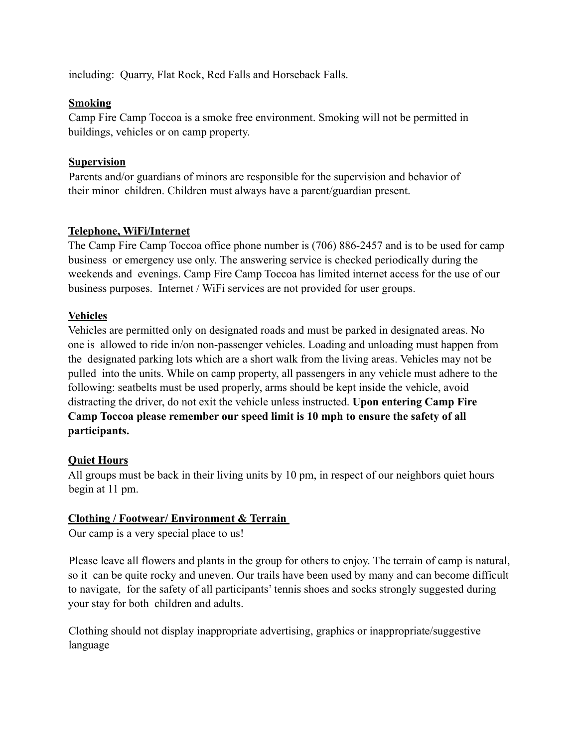including: Quarry, Flat Rock, Red Falls and Horseback Falls.

## **Smoking**

Camp Fire Camp Toccoa is a smoke free environment. Smoking will not be permitted in buildings, vehicles or on camp property.

## **Supervision**

Parents and/or guardians of minors are responsible for the supervision and behavior of their minor children. Children must always have a parent/guardian present.

# **Telephone, WiFi/Internet**

The Camp Fire Camp Toccoa office phone number is (706) 886-2457 and is to be used for camp business or emergency use only. The answering service is checked periodically during the weekends and evenings. Camp Fire Camp Toccoa has limited internet access for the use of our business purposes. Internet / WiFi services are not provided for user groups.

# **Vehicles**

Vehicles are permitted only on designated roads and must be parked in designated areas. No one is allowed to ride in/on non-passenger vehicles. Loading and unloading must happen from the designated parking lots which are a short walk from the living areas. Vehicles may not be pulled into the units. While on camp property, all passengers in any vehicle must adhere to the following: seatbelts must be used properly, arms should be kept inside the vehicle, avoid distracting the driver, do not exit the vehicle unless instructed. **Upon entering Camp Fire Camp Toccoa please remember our speed limit is 10 mph to ensure the safety of all participants.** 

# **Quiet Hours**

All groups must be back in their living units by 10 pm, in respect of our neighbors quiet hours begin at 11 pm.

# **Clothing / Footwear/ Environment & Terrain**

Our camp is a very special place to us!

Please leave all flowers and plants in the group for others to enjoy. The terrain of camp is natural, so it can be quite rocky and uneven. Our trails have been used by many and can become difficult to navigate, for the safety of all participants' tennis shoes and socks strongly suggested during your stay for both children and adults.

Clothing should not display inappropriate advertising, graphics or inappropriate/suggestive language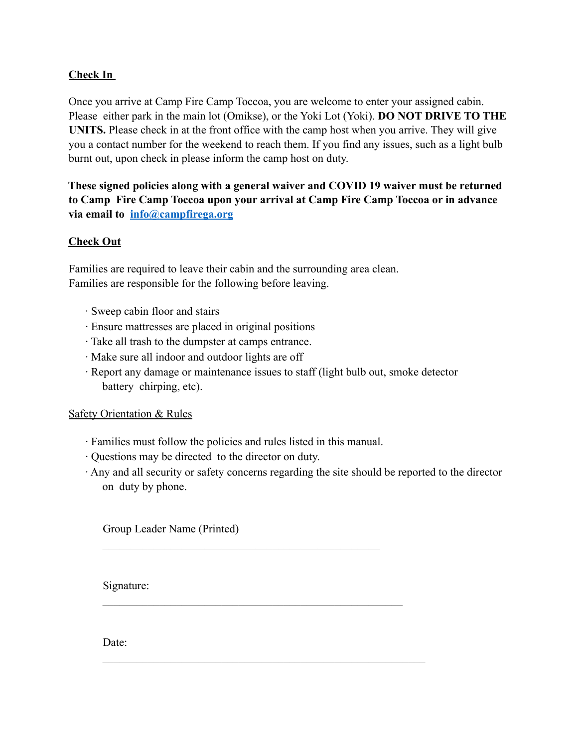## **Check In**

Once you arrive at Camp Fire Camp Toccoa, you are welcome to enter your assigned cabin. Please either park in the main lot (Omikse), or the Yoki Lot (Yoki). **DO NOT DRIVE TO THE UNITS.** Please check in at the front office with the camp host when you arrive. They will give you a contact number for the weekend to reach them. If you find any issues, such as a light bulb burnt out, upon check in please inform the camp host on duty.

**These signed policies along with a general waiver and COVID 19 waiver must be returned to Camp Fire Camp Toccoa upon your arrival at Camp Fire Camp Toccoa or in advance via email to info@campfirega.org**

#### **Check Out**

Families are required to leave their cabin and the surrounding area clean. Families are responsible for the following before leaving.

- · Sweep cabin floor and stairs
- · Ensure mattresses are placed in original positions
- · Take all trash to the dumpster at camps entrance.
- · Make sure all indoor and outdoor lights are off
- · Report any damage or maintenance issues to staff (light bulb out, smoke detector battery chirping, etc).

#### Safety Orientation & Rules

· Families must follow the policies and rules listed in this manual.

\_\_\_\_\_\_\_\_\_\_\_\_\_\_\_\_\_\_\_\_\_\_\_\_\_\_\_\_\_\_\_\_\_\_\_\_\_\_\_\_\_\_\_\_\_\_\_\_\_

 $\mathcal{L}_\text{max}$  and the contract of the contract of the contract of the contract of the contract of the contract of the contract of the contract of the contract of the contract of the contract of the contract of the contrac

 $\mathcal{L}_\mathcal{L}$  , and the contribution of the contribution of the contribution of the contribution of the contribution of the contribution of the contribution of the contribution of the contribution of the contribution of

- · Questions may be directed to the director on duty.
- · Any and all security or safety concerns regarding the site should be reported to the director on duty by phone.

Group Leader Name (Printed)

Signature:

Date: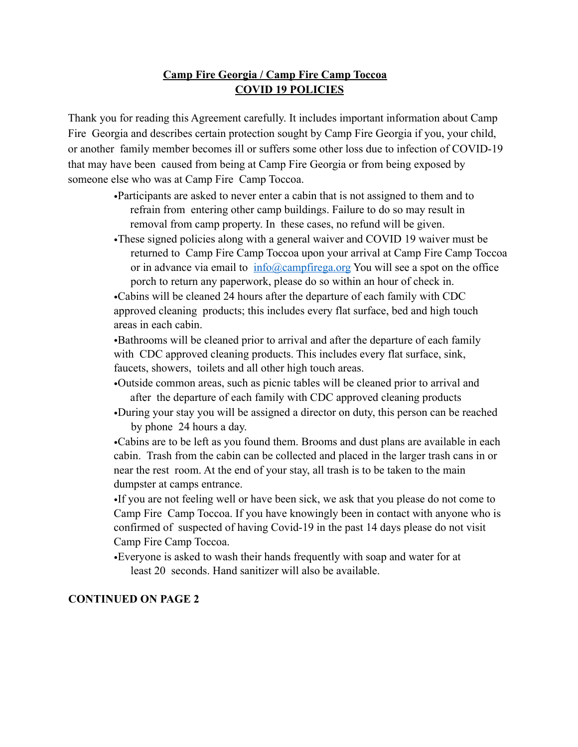## **Camp Fire Georgia / Camp Fire Camp Toccoa COVID 19 POLICIES**

Thank you for reading this Agreement carefully. It includes important information about Camp Fire Georgia and describes certain protection sought by Camp Fire Georgia if you, your child, or another family member becomes ill or suffers some other loss due to infection of COVID-19 that may have been caused from being at Camp Fire Georgia or from being exposed by someone else who was at Camp Fire Camp Toccoa.

- •Participants are asked to never enter a cabin that is not assigned to them and to refrain from entering other camp buildings. Failure to do so may result in removal from camp property. In these cases, no refund will be given.
- •These signed policies along with a general waiver and COVID 19 waiver must be returned to Camp Fire Camp Toccoa upon your arrival at Camp Fire Camp Toccoa or in advance via email to  $\frac{info(\partial_{\mathcal{C}}\text{a}^{\dagger} \text{a} \cdot \text{b} \cdot \text{b})}{info(\partial_{\mathcal{C}}\text{a}^{\dagger} \text{a} \cdot \text{b})}$  You will see a spot on the office porch to return any paperwork, please do so within an hour of check in.

•Cabins will be cleaned 24 hours after the departure of each family with CDC approved cleaning products; this includes every flat surface, bed and high touch areas in each cabin.

•Bathrooms will be cleaned prior to arrival and after the departure of each family with CDC approved cleaning products. This includes every flat surface, sink, faucets, showers, toilets and all other high touch areas.

- •Outside common areas, such as picnic tables will be cleaned prior to arrival and after the departure of each family with CDC approved cleaning products
- •During your stay you will be assigned a director on duty, this person can be reached by phone 24 hours a day.

•Cabins are to be left as you found them. Brooms and dust plans are available in each cabin. Trash from the cabin can be collected and placed in the larger trash cans in or near the rest room. At the end of your stay, all trash is to be taken to the main dumpster at camps entrance.

•If you are not feeling well or have been sick, we ask that you please do not come to Camp Fire Camp Toccoa. If you have knowingly been in contact with anyone who is confirmed of suspected of having Covid-19 in the past 14 days please do not visit Camp Fire Camp Toccoa.

•Everyone is asked to wash their hands frequently with soap and water for at least 20 seconds. Hand sanitizer will also be available.

#### **CONTINUED ON PAGE 2**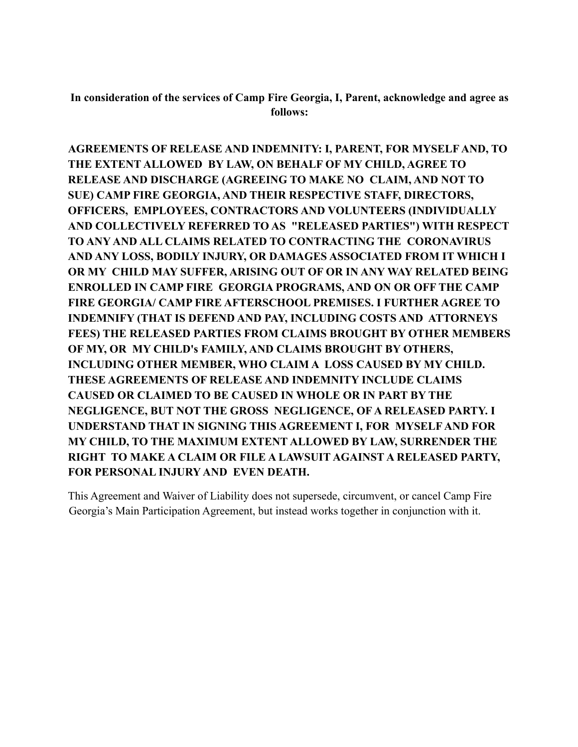**In consideration of the services of Camp Fire Georgia, I, Parent, acknowledge and agree as follows:** 

**AGREEMENTS OF RELEASE AND INDEMNITY: I, PARENT, FOR MYSELF AND, TO THE EXTENT ALLOWED BY LAW, ON BEHALF OF MY CHILD, AGREE TO RELEASE AND DISCHARGE (AGREEING TO MAKE NO CLAIM, AND NOT TO SUE) CAMP FIRE GEORGIA, AND THEIR RESPECTIVE STAFF, DIRECTORS, OFFICERS, EMPLOYEES, CONTRACTORS AND VOLUNTEERS (INDIVIDUALLY AND COLLECTIVELY REFERRED TO AS "RELEASED PARTIES") WITH RESPECT TO ANY AND ALL CLAIMS RELATED TO CONTRACTING THE CORONAVIRUS AND ANY LOSS, BODILY INJURY, OR DAMAGES ASSOCIATED FROM IT WHICH I OR MY CHILD MAY SUFFER, ARISING OUT OF OR IN ANY WAY RELATED BEING ENROLLED IN CAMP FIRE GEORGIA PROGRAMS, AND ON OR OFF THE CAMP FIRE GEORGIA/ CAMP FIRE AFTERSCHOOL PREMISES. I FURTHER AGREE TO INDEMNIFY (THAT IS DEFEND AND PAY, INCLUDING COSTS AND ATTORNEYS FEES) THE RELEASED PARTIES FROM CLAIMS BROUGHT BY OTHER MEMBERS OF MY, OR MY CHILD's FAMILY, AND CLAIMS BROUGHT BY OTHERS, INCLUDING OTHER MEMBER, WHO CLAIM A LOSS CAUSED BY MY CHILD. THESE AGREEMENTS OF RELEASE AND INDEMNITY INCLUDE CLAIMS CAUSED OR CLAIMED TO BE CAUSED IN WHOLE OR IN PART BY THE NEGLIGENCE, BUT NOT THE GROSS NEGLIGENCE, OF A RELEASED PARTY. I UNDERSTAND THAT IN SIGNING THIS AGREEMENT I, FOR MYSELF AND FOR MY CHILD, TO THE MAXIMUM EXTENT ALLOWED BY LAW, SURRENDER THE RIGHT TO MAKE A CLAIM OR FILE A LAWSUIT AGAINST A RELEASED PARTY, FOR PERSONAL INJURY AND EVEN DEATH.** 

This Agreement and Waiver of Liability does not supersede, circumvent, or cancel Camp Fire Georgia's Main Participation Agreement, but instead works together in conjunction with it.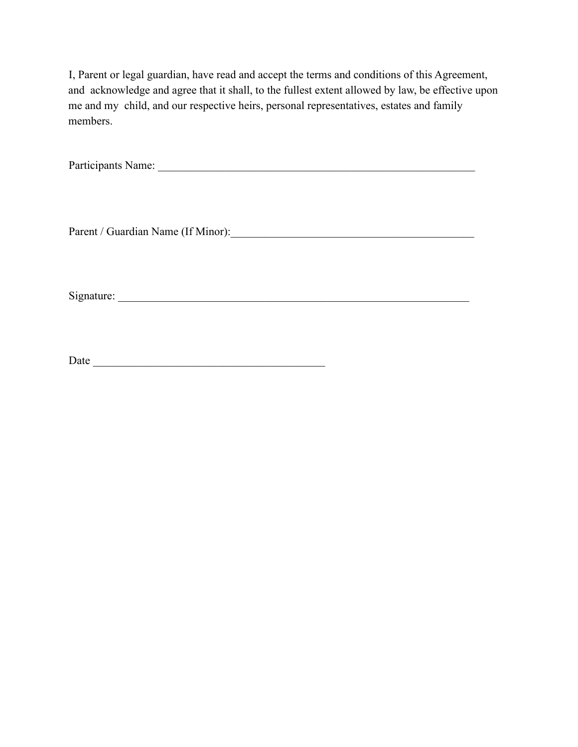I, Parent or legal guardian, have read and accept the terms and conditions of this Agreement, and acknowledge and agree that it shall, to the fullest extent allowed by law, be effective upon me and my child, and our respective heirs, personal representatives, estates and family members.

Participants Name: \_\_\_\_\_\_\_\_\_\_\_\_\_\_\_\_\_\_\_\_\_\_\_\_\_\_\_\_\_\_\_\_\_\_\_\_\_\_\_\_\_\_\_\_\_\_\_\_\_\_\_\_\_\_\_\_

Parent / Guardian Name (If Minor):\_\_\_\_\_\_\_\_\_\_\_\_\_\_\_\_\_\_\_\_\_\_\_\_\_\_\_\_\_\_\_\_\_\_\_\_\_\_\_\_\_\_\_

Signature: \_\_\_\_\_\_\_\_\_\_\_\_\_\_\_\_\_\_\_\_\_\_\_\_\_\_\_\_\_\_\_\_\_\_\_\_\_\_\_\_\_\_\_\_\_\_\_\_\_\_\_\_\_\_\_\_\_\_\_\_\_\_

Date \_\_\_\_\_\_\_\_\_\_\_\_\_\_\_\_\_\_\_\_\_\_\_\_\_\_\_\_\_\_\_\_\_\_\_\_\_\_\_\_\_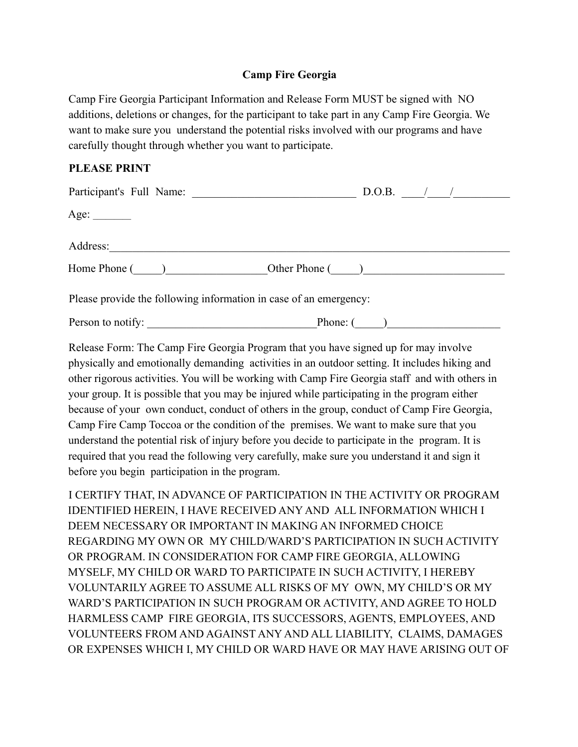## **Camp Fire Georgia**

Camp Fire Georgia Participant Information and Release Form MUST be signed with NO additions, deletions or changes, for the participant to take part in any Camp Fire Georgia. We want to make sure you understand the potential risks involved with our programs and have carefully thought through whether you want to participate.

#### **PLEASE PRINT**

| Participant's Full Name:                                          | D.O.B. $\frac{1}{2}$ |
|-------------------------------------------------------------------|----------------------|
| Age: $\_\_\_\_\_\_\_\_\_\_\_\_\_\_\_\_\_\_\_\_\_$                 |                      |
| Address:                                                          |                      |
| Home Phone ()                                                     | Other Phone ()       |
| Please provide the following information in case of an emergency: |                      |
| Person to notify:                                                 | Phone: $($ )         |

Release Form: The Camp Fire Georgia Program that you have signed up for may involve physically and emotionally demanding activities in an outdoor setting. It includes hiking and other rigorous activities. You will be working with Camp Fire Georgia staff and with others in your group. It is possible that you may be injured while participating in the program either because of your own conduct, conduct of others in the group, conduct of Camp Fire Georgia, Camp Fire Camp Toccoa or the condition of the premises. We want to make sure that you understand the potential risk of injury before you decide to participate in the program. It is required that you read the following very carefully, make sure you understand it and sign it before you begin participation in the program.

I CERTIFY THAT, IN ADVANCE OF PARTICIPATION IN THE ACTIVITY OR PROGRAM IDENTIFIED HEREIN, I HAVE RECEIVED ANY AND ALL INFORMATION WHICH I DEEM NECESSARY OR IMPORTANT IN MAKING AN INFORMED CHOICE REGARDING MY OWN OR MY CHILD/WARD'S PARTICIPATION IN SUCH ACTIVITY OR PROGRAM. IN CONSIDERATION FOR CAMP FIRE GEORGIA, ALLOWING MYSELF, MY CHILD OR WARD TO PARTICIPATE IN SUCH ACTIVITY, I HEREBY VOLUNTARILY AGREE TO ASSUME ALL RISKS OF MY OWN, MY CHILD'S OR MY WARD'S PARTICIPATION IN SUCH PROGRAM OR ACTIVITY, AND AGREE TO HOLD HARMLESS CAMP FIRE GEORGIA, ITS SUCCESSORS, AGENTS, EMPLOYEES, AND VOLUNTEERS FROM AND AGAINST ANY AND ALL LIABILITY, CLAIMS, DAMAGES OR EXPENSES WHICH I, MY CHILD OR WARD HAVE OR MAY HAVE ARISING OUT OF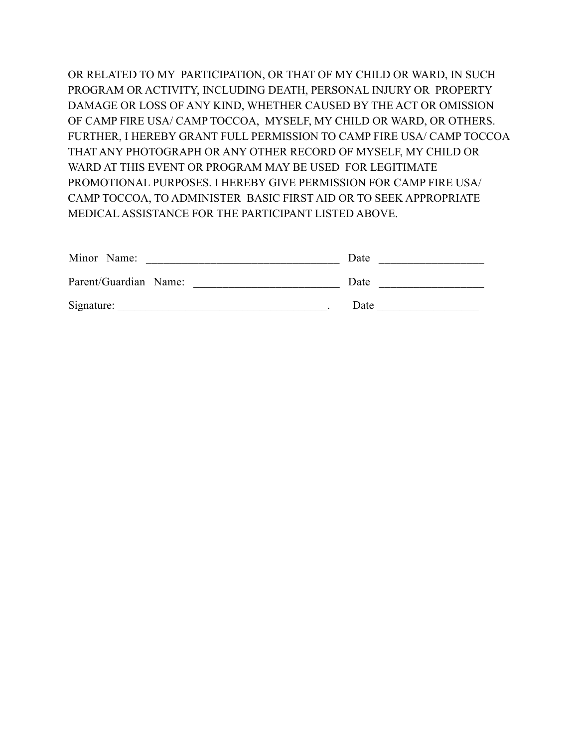OR RELATED TO MY PARTICIPATION, OR THAT OF MY CHILD OR WARD, IN SUCH PROGRAM OR ACTIVITY, INCLUDING DEATH, PERSONAL INJURY OR PROPERTY DAMAGE OR LOSS OF ANY KIND, WHETHER CAUSED BY THE ACT OR OMISSION OF CAMP FIRE USA/ CAMP TOCCOA, MYSELF, MY CHILD OR WARD, OR OTHERS. FURTHER, I HEREBY GRANT FULL PERMISSION TO CAMP FIRE USA/ CAMP TOCCOA THAT ANY PHOTOGRAPH OR ANY OTHER RECORD OF MYSELF, MY CHILD OR WARD AT THIS EVENT OR PROGRAM MAY BE USED FOR LEGITIMATE PROMOTIONAL PURPOSES. I HEREBY GIVE PERMISSION FOR CAMP FIRE USA/ CAMP TOCCOA, TO ADMINISTER BASIC FIRST AID OR TO SEEK APPROPRIATE MEDICAL ASSISTANCE FOR THE PARTICIPANT LISTED ABOVE.

| Minor Name:           | Date |
|-----------------------|------|
| Parent/Guardian Name: | Date |
| Signature:            | Date |